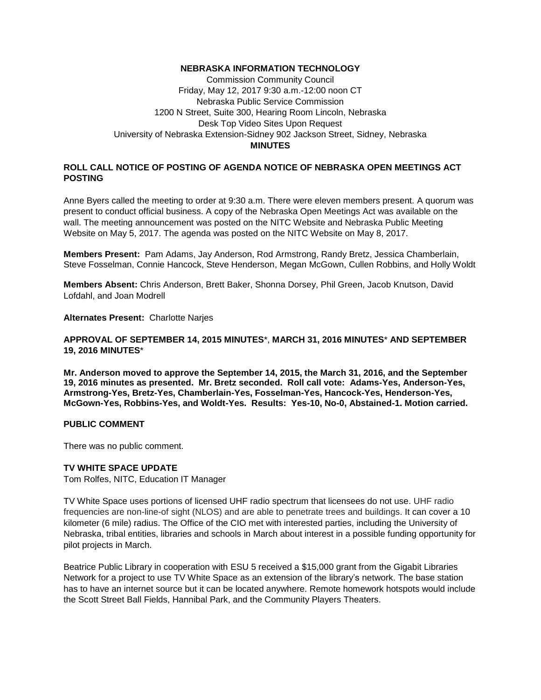### **NEBRASKA INFORMATION TECHNOLOGY**

Commission Community Council Friday, May 12, 2017 9:30 a.m.-12:00 noon CT Nebraska Public Service Commission 1200 N Street, Suite 300, Hearing Room Lincoln, Nebraska Desk Top Video Sites Upon Request University of Nebraska Extension-Sidney 902 Jackson Street, Sidney, Nebraska **MINUTES**

# **ROLL CALL NOTICE OF POSTING OF AGENDA NOTICE OF NEBRASKA OPEN MEETINGS ACT POSTING**

Anne Byers called the meeting to order at 9:30 a.m. There were eleven members present. A quorum was present to conduct official business. A copy of the Nebraska Open Meetings Act was available on the wall. The meeting announcement was posted on the NITC Website and Nebraska Public Meeting Website on May 5, 2017. The agenda was posted on the NITC Website on May 8, 2017.

**Members Present:** Pam Adams, Jay Anderson, Rod Armstrong, Randy Bretz, Jessica Chamberlain, Steve Fosselman, Connie Hancock, Steve Henderson, Megan McGown, Cullen Robbins, and Holly Woldt

**Members Absent:** Chris Anderson, Brett Baker, Shonna Dorsey, Phil Green, Jacob Knutson, David Lofdahl, and Joan Modrell

#### **Alternates Present:** Charlotte Narjes

### **APPROVAL OF SEPTEMBER 14, 2015 MINUTES**\*, **MARCH 31, 2016 MINUTES**\* **AND SEPTEMBER 19, 2016 MINUTES**\*

**Mr. Anderson moved to approve the September 14, 2015, the March 31, 2016, and the September 19, 2016 minutes as presented. Mr. Bretz seconded. Roll call vote: Adams-Yes, Anderson-Yes, Armstrong-Yes, Bretz-Yes, Chamberlain-Yes, Fosselman-Yes, Hancock-Yes, Henderson-Yes, McGown-Yes, Robbins-Yes, and Woldt-Yes. Results: Yes-10, No-0, Abstained-1. Motion carried.**

### **PUBLIC COMMENT**

There was no public comment.

### **TV WHITE SPACE UPDATE**

Tom Rolfes, NITC, Education IT Manager

TV White Space uses portions of licensed UHF radio spectrum that licensees do not use. UHF radio frequencies are non-line-of sight (NLOS) and are able to penetrate trees and buildings. It can cover a 10 kilometer (6 mile) radius. The Office of the CIO met with interested parties, including the University of Nebraska, tribal entities, libraries and schools in March about interest in a possible funding opportunity for pilot projects in March.

Beatrice Public Library in cooperation with ESU 5 received a \$15,000 grant from the Gigabit Libraries Network for a project to use TV White Space as an extension of the library's network. The base station has to have an internet source but it can be located anywhere. Remote homework hotspots would include the Scott Street Ball Fields, Hannibal Park, and the Community Players Theaters.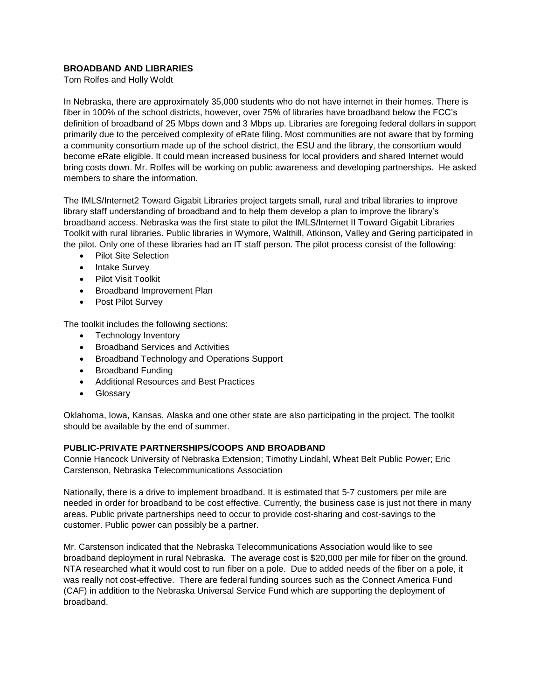# **BROADBAND AND LIBRARIES**

Tom Rolfes and Holly Woldt

In Nebraska, there are approximately 35,000 students who do not have internet in their homes. There is fiber in 100% of the school districts, however, over 75% of libraries have broadband below the FCC's definition of broadband of 25 Mbps down and 3 Mbps up. Libraries are foregoing federal dollars in support primarily due to the perceived complexity of eRate filing. Most communities are not aware that by forming a community consortium made up of the school district, the ESU and the library, the consortium would become eRate eligible. It could mean increased business for local providers and shared Internet would bring costs down. Mr. Rolfes will be working on public awareness and developing partnerships. He asked members to share the information.

The IMLS/Internet2 Toward Gigabit Libraries project targets small, rural and tribal libraries to improve library staff understanding of broadband and to help them develop a plan to improve the library's broadband access. Nebraska was the first state to pilot the IMLS/Internet II Toward Gigabit Libraries Toolkit with rural libraries. Public libraries in Wymore, Walthill, Atkinson, Valley and Gering participated in the pilot. Only one of these libraries had an IT staff person. The pilot process consist of the following:

- Pilot Site Selection
- Intake Survey
- Pilot Visit Toolkit
- Broadband Improvement Plan
- Post Pilot Survey

The toolkit includes the following sections:

- Technology Inventory
- **•** Broadband Services and Activities
- Broadband Technology and Operations Support
- Broadband Funding
- Additional Resources and Best Practices
- **•** Glossary

Oklahoma, Iowa, Kansas, Alaska and one other state are also participating in the project. The toolkit should be available by the end of summer.

### **PUBLIC-PRIVATE PARTNERSHIPS/COOPS AND BROADBAND**

Connie Hancock University of Nebraska Extension; Timothy Lindahl, Wheat Belt Public Power; Eric Carstenson, Nebraska Telecommunications Association

Nationally, there is a drive to implement broadband. It is estimated that 5-7 customers per mile are needed in order for broadband to be cost effective. Currently, the business case is just not there in many areas. Public private partnerships need to occur to provide cost-sharing and cost-savings to the customer. Public power can possibly be a partner.

Mr. Carstenson indicated that the Nebraska Telecommunications Association would like to see broadband deployment in rural Nebraska. The average cost is \$20,000 per mile for fiber on the ground. NTA researched what it would cost to run fiber on a pole. Due to added needs of the fiber on a pole, it was really not cost-effective. There are federal funding sources such as the Connect America Fund (CAF) in addition to the Nebraska Universal Service Fund which are supporting the deployment of broadband.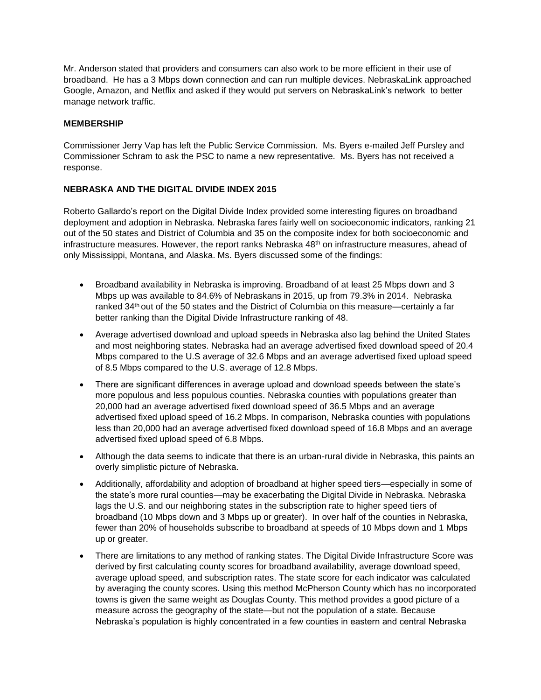Mr. Anderson stated that providers and consumers can also work to be more efficient in their use of broadband. He has a 3 Mbps down connection and can run multiple devices. NebraskaLink approached Google, Amazon, and Netflix and asked if they would put servers on NebraskaLink's network to better manage network traffic.

# **MEMBERSHIP**

Commissioner Jerry Vap has left the Public Service Commission. Ms. Byers e-mailed Jeff Pursley and Commissioner Schram to ask the PSC to name a new representative. Ms. Byers has not received a response.

# **NEBRASKA AND THE DIGITAL DIVIDE INDEX 2015**

Roberto Gallardo's report on the Digital Divide Index provided some interesting figures on broadband deployment and adoption in Nebraska. Nebraska fares fairly well on socioeconomic indicators, ranking 21 out of the 50 states and District of Columbia and 35 on the composite index for both socioeconomic and infrastructure measures. However, the report ranks Nebraska 48<sup>th</sup> on infrastructure measures, ahead of only Mississippi, Montana, and Alaska. Ms. Byers discussed some of the findings:

- Broadband availability in Nebraska is improving. Broadband of at least 25 Mbps down and 3 Mbps up was available to 84.6% of Nebraskans in 2015, up from 79.3% in 2014. Nebraska ranked 34<sup>th</sup> out of the 50 states and the District of Columbia on this measure—certainly a far better ranking than the Digital Divide Infrastructure ranking of 48.
- Average advertised download and upload speeds in Nebraska also lag behind the United States and most neighboring states. Nebraska had an average advertised fixed download speed of 20.4 Mbps compared to the U.S average of 32.6 Mbps and an average advertised fixed upload speed of 8.5 Mbps compared to the U.S. average of 12.8 Mbps.
- There are significant differences in average upload and download speeds between the state's more populous and less populous counties. Nebraska counties with populations greater than 20,000 had an average advertised fixed download speed of 36.5 Mbps and an average advertised fixed upload speed of 16.2 Mbps. In comparison, Nebraska counties with populations less than 20,000 had an average advertised fixed download speed of 16.8 Mbps and an average advertised fixed upload speed of 6.8 Mbps.
- Although the data seems to indicate that there is an urban-rural divide in Nebraska, this paints an overly simplistic picture of Nebraska.
- Additionally, affordability and adoption of broadband at higher speed tiers—especially in some of the state's more rural counties—may be exacerbating the Digital Divide in Nebraska. Nebraska lags the U.S. and our neighboring states in the subscription rate to higher speed tiers of broadband (10 Mbps down and 3 Mbps up or greater). In over half of the counties in Nebraska, fewer than 20% of households subscribe to broadband at speeds of 10 Mbps down and 1 Mbps up or greater.
- There are limitations to any method of ranking states. The Digital Divide Infrastructure Score was derived by first calculating county scores for broadband availability, average download speed, average upload speed, and subscription rates. The state score for each indicator was calculated by averaging the county scores. Using this method McPherson County which has no incorporated towns is given the same weight as Douglas County. This method provides a good picture of a measure across the geography of the state—but not the population of a state. Because Nebraska's population is highly concentrated in a few counties in eastern and central Nebraska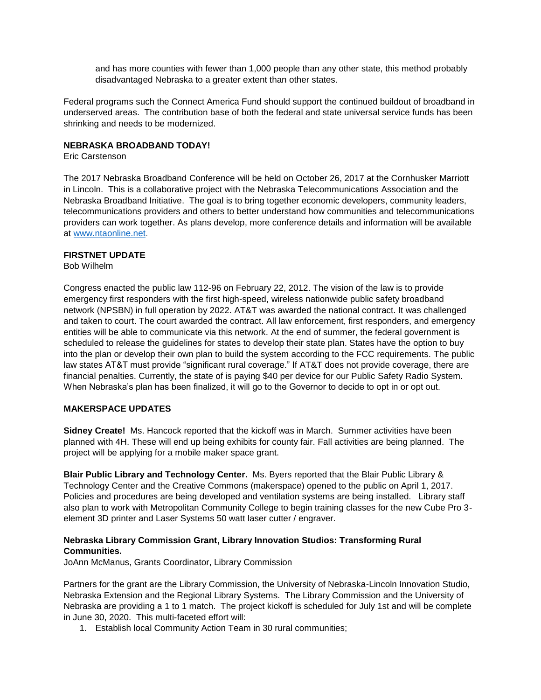and has more counties with fewer than 1,000 people than any other state, this method probably disadvantaged Nebraska to a greater extent than other states.

Federal programs such the Connect America Fund should support the continued buildout of broadband in underserved areas. The contribution base of both the federal and state universal service funds has been shrinking and needs to be modernized.

### **NEBRASKA BROADBAND TODAY!**

Eric Carstenson

The 2017 Nebraska Broadband Conference will be held on October 26, 2017 at the Cornhusker Marriott in Lincoln. This is a collaborative project with the Nebraska Telecommunications Association and the Nebraska Broadband Initiative. The goal is to bring together economic developers, community leaders, telecommunications providers and others to better understand how communities and telecommunications providers can work together. As plans develop, more conference details and information will be available at [www.ntaonline.net.](http://www.ntaonline.net/)

### **FIRSTNET UPDATE**

Bob Wilhelm

Congress enacted the public law 112-96 on February 22, 2012. The vision of the law is to provide emergency first responders with the first high-speed, wireless nationwide public safety broadband network (NPSBN) in full operation by 2022. AT&T was awarded the national contract. It was challenged and taken to court. The court awarded the contract. All law enforcement, first responders, and emergency entities will be able to communicate via this network. At the end of summer, the federal government is scheduled to release the guidelines for states to develop their state plan. States have the option to buy into the plan or develop their own plan to build the system according to the FCC requirements. The public law states AT&T must provide "significant rural coverage." If AT&T does not provide coverage, there are financial penalties. Currently, the state of is paying \$40 per device for our Public Safety Radio System. When Nebraska's plan has been finalized, it will go to the Governor to decide to opt in or opt out.

### **MAKERSPACE UPDATES**

**Sidney Create!** Ms. Hancock reported that the kickoff was in March. Summer activities have been planned with 4H. These will end up being exhibits for county fair. Fall activities are being planned. The project will be applying for a mobile maker space grant.

**Blair Public Library and Technology Center.** Ms. Byers reported that the Blair Public Library & Technology Center and the Creative Commons (makerspace) opened to the public on April 1, 2017. Policies and procedures are being developed and ventilation systems are being installed. Library staff also plan to work with Metropolitan Community College to begin training classes for the new Cube Pro 3 element 3D printer and Laser Systems 50 watt laser cutter / engraver.

### **Nebraska Library Commission Grant, Library Innovation Studios: Transforming Rural Communities.**

JoAnn McManus, Grants Coordinator, Library Commission

Partners for the grant are the Library Commission, the University of Nebraska-Lincoln Innovation Studio, Nebraska Extension and the Regional Library Systems. The Library Commission and the University of Nebraska are providing a 1 to 1 match. The project kickoff is scheduled for July 1st and will be complete in June 30, 2020. This multi-faceted effort will:

1. Establish local Community Action Team in 30 rural communities;